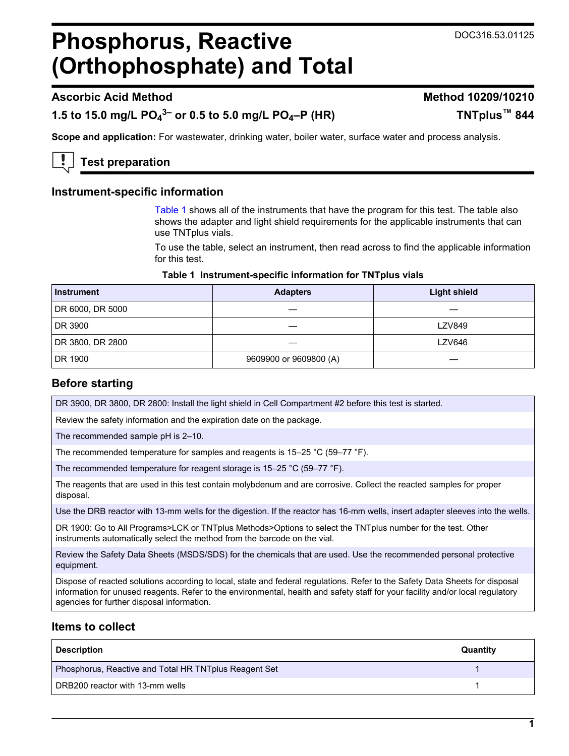#### DOC316.53.01125

# <span id="page-0-0"></span>**Phosphorus, Reactive (Orthophosphate) and Total**

# **Ascorbic Acid Method Method 10209/10210**

# **1.5 to 15.0 mg/L PO<sup>4</sup> 3– or 0.5 to 5.0 mg/L PO4–P (HR) TNTplus™ 844**

**Scope and application:** For wastewater, drinking water, boiler water, surface water and process analysis.

**Test preparation**

#### **Instrument-specific information**

Table 1 shows all of the instruments that have the program for this test. The table also shows the adapter and light shield requirements for the applicable instruments that can use TNTplus vials.

To use the table, select an instrument, then read across to find the applicable information for this test.

#### **Table 1 Instrument-specific information for TNTplus vials**

| <b>Instrument</b> | <b>Adapters</b>        | <b>Light shield</b> |
|-------------------|------------------------|---------------------|
| DR 6000, DR 5000  |                        |                     |
| DR 3900           |                        | <b>LZV849</b>       |
| DR 3800, DR 2800  |                        | <b>LZV646</b>       |
| DR 1900           | 9609900 or 9609800 (A) |                     |

# **Before starting**

DR 3900, DR 3800, DR 2800: Install the light shield in Cell Compartment #2 before this test is started.

Review the safety information and the expiration date on the package.

The recommended sample pH is 2–10.

The recommended temperature for samples and reagents is 15–25 °C (59–77 °F).

The recommended temperature for reagent storage is 15–25 °C (59–77 °F).

The reagents that are used in this test contain molybdenum and are corrosive. Collect the reacted samples for proper disposal.

Use the DRB reactor with 13-mm wells for the digestion. If the reactor has 16-mm wells, insert adapter sleeves into the wells.

DR 1900: Go to All Programs>LCK or TNTplus Methods>Options to select the TNTplus number for the test. Other instruments automatically select the method from the barcode on the vial.

Review the Safety Data Sheets (MSDS/SDS) for the chemicals that are used. Use the recommended personal protective equipment.

Dispose of reacted solutions according to local, state and federal regulations. Refer to the Safety Data Sheets for disposal information for unused reagents. Refer to the environmental, health and safety staff for your facility and/or local regulatory agencies for further disposal information.

# **Items to collect**

| <b>Description</b>                                    | Quantity |
|-------------------------------------------------------|----------|
| Phosphorus, Reactive and Total HR TNTplus Reagent Set |          |
| DRB200 reactor with 13-mm wells                       |          |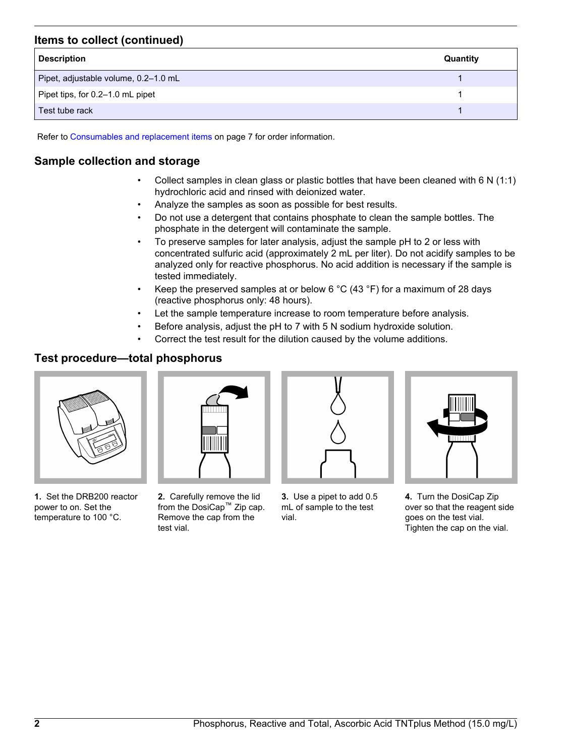# **Items to collect (continued)**

| <b>Description</b>                   | Quantity |
|--------------------------------------|----------|
| Pipet, adjustable volume, 0.2-1.0 mL |          |
| Pipet tips, for 0.2–1.0 mL pipet     |          |
| Test tube rack                       |          |

Refer to [Consumables and replacement items](#page-6-0) on page 7 for order information.

# **Sample collection and storage**

- Collect samples in clean glass or plastic bottles that have been cleaned with 6 N (1:1) hydrochloric acid and rinsed with deionized water.
- Analyze the samples as soon as possible for best results.
- Do not use a detergent that contains phosphate to clean the sample bottles. The phosphate in the detergent will contaminate the sample.
- To preserve samples for later analysis, adjust the sample pH to 2 or less with concentrated sulfuric acid (approximately 2 mL per liter). Do not acidify samples to be analyzed only for reactive phosphorus. No acid addition is necessary if the sample is tested immediately.
- Keep the preserved samples at or below 6  $^{\circ}$ C (43  $^{\circ}$ F) for a maximum of 28 days (reactive phosphorus only: 48 hours).
- Let the sample temperature increase to room temperature before analysis.
- Before analysis, adjust the pH to 7 with 5 N sodium hydroxide solution.
- Correct the test result for the dilution caused by the volume additions.

# **Test procedure—total phosphorus**



**1.** Set the DRB200 reactor power to on. Set the temperature to 100 °C.



**2.** Carefully remove the lid from the DosiCap™ Zip cap. Remove the cap from the test vial.



**3.** Use a pipet to add 0.5 mL of sample to the test vial.



**4.** Turn the DosiCap Zip over so that the reagent side goes on the test vial. Tighten the cap on the vial.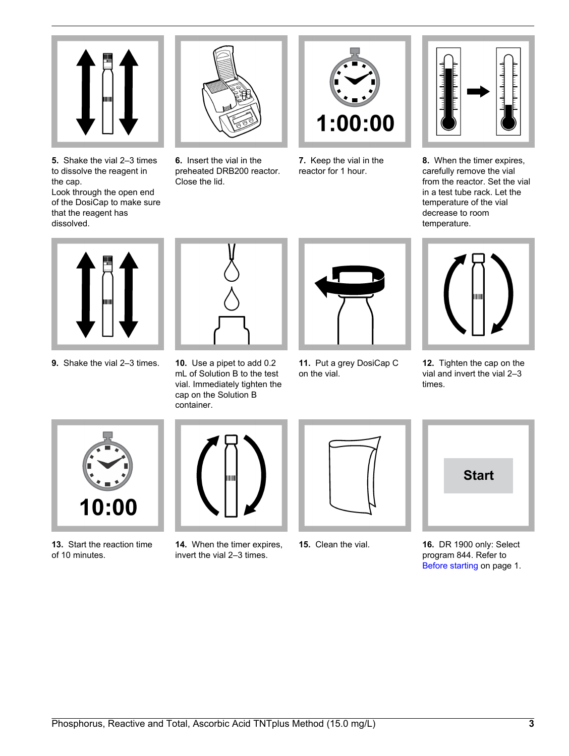

**5.** Shake the vial 2–3 times to dissolve the reagent in the cap.

Look through the open end of the DosiCap to make sure that the reagent has dissolved.



**6.** Insert the vial in the preheated DRB200 reactor. Close the lid.



**7.** Keep the vial in the reactor for 1 hour.



**8.** When the timer expires, carefully remove the vial from the reactor. Set the vial in a test tube rack. Let the temperature of the vial decrease to room temperature.



**9.** Shake the vial 2–3 times. **10.** Use a pipet to add 0.2



mL of Solution B to the test vial. Immediately tighten the cap on the Solution B container.



**11.** Put a grey DosiCap C on the vial.



**12.** Tighten the cap on the vial and invert the vial 2–3 times.



**13.** Start the reaction time of 10 minutes.



**14.** When the timer expires, invert the vial 2–3 times.



**15.** Clean the vial.



**16.** DR 1900 only: Select program 844. Refer to [Before starting](#page-0-0) on page 1.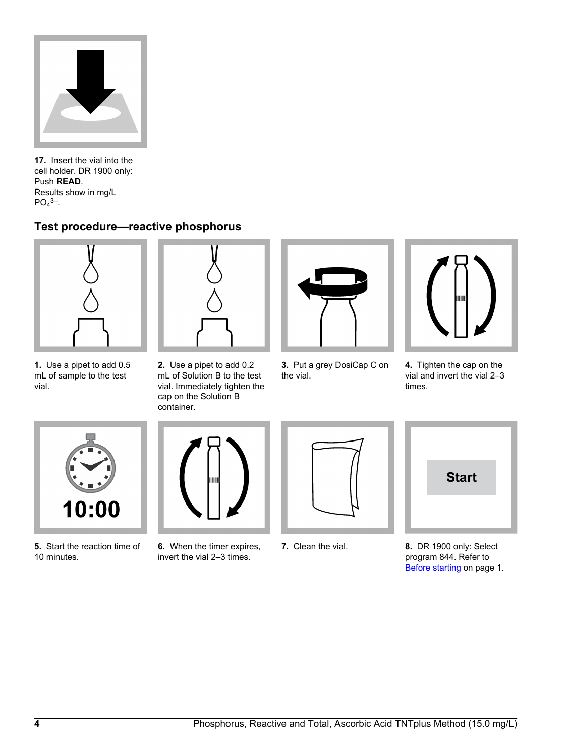

**17.** Insert the vial into the cell holder. DR 1900 only: Push **READ**. Results show in mg/L  $PO<sub>4</sub>$ <sup>3–</sup>.

# **Test procedure—reactive phosphorus**



**1.** Use a pipet to add 0.5 mL of sample to the test

vial.

**2.** Use a pipet to add 0.2 mL of Solution B to the test vial. Immediately tighten the cap on the Solution B

container.

**3.** Put a grey DosiCap C on the vial.



**4.** Tighten the cap on the vial and invert the vial 2–3 times.



**5.** Start the reaction time of 10 minutes.



- **6.** When the timer expires, invert the vial 2–3 times.
- 

**7.** Clean the vial.

- **Start**
- **8.** DR 1900 only: Select program 844. Refer to [Before starting](#page-0-0) on page 1.

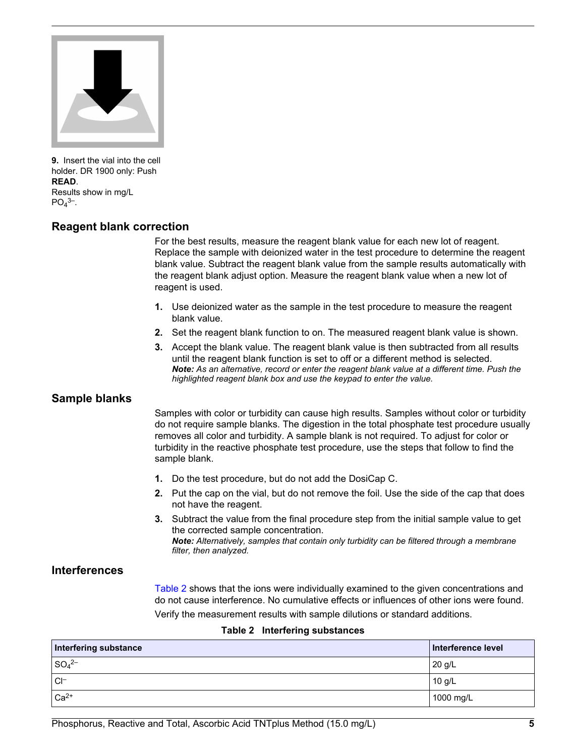

**9.** Insert the vial into the cell holder. DR 1900 only: Push **READ**. Results show in mg/L  $PO<sub>4</sub>$ <sup>3–</sup>.

#### **Reagent blank correction**

For the best results, measure the reagent blank value for each new lot of reagent. Replace the sample with deionized water in the test procedure to determine the reagent blank value. Subtract the reagent blank value from the sample results automatically with the reagent blank adjust option. Measure the reagent blank value when a new lot of reagent is used.

- **1.** Use deionized water as the sample in the test procedure to measure the reagent blank value.
- **2.** Set the reagent blank function to on. The measured reagent blank value is shown.
- **3.** Accept the blank value. The reagent blank value is then subtracted from all results until the reagent blank function is set to off or a different method is selected. *Note: As an alternative, record or enter the reagent blank value at a different time. Push the highlighted reagent blank box and use the keypad to enter the value.*

#### **Sample blanks**

Samples with color or turbidity can cause high results. Samples without color or turbidity do not require sample blanks. The digestion in the total phosphate test procedure usually removes all color and turbidity. A sample blank is not required. To adjust for color or turbidity in the reactive phosphate test procedure, use the steps that follow to find the sample blank.

- **1.** Do the test procedure, but do not add the DosiCap C.
- **2.** Put the cap on the vial, but do not remove the foil. Use the side of the cap that does not have the reagent.
- **3.** Subtract the value from the final procedure step from the initial sample value to get the corrected sample concentration. *Note: Alternatively, samples that contain only turbidity can be filtered through a membrane filter, then analyzed.*

#### **Interferences**

Table 2 shows that the ions were individually examined to the given concentrations and do not cause interference. No cumulative effects or influences of other ions were found. Verify the measurement results with sample dilutions or standard additions.

#### **Table 2 Interfering substances**

| Interfering substance         | Interference level |
|-------------------------------|--------------------|
| $SO_4^{2-}$                   | $20$ g/L           |
| $C \vdash$                    | $10$ g/L           |
| $\mathsf{I}$ Ca <sup>2+</sup> | 1000 mg/L          |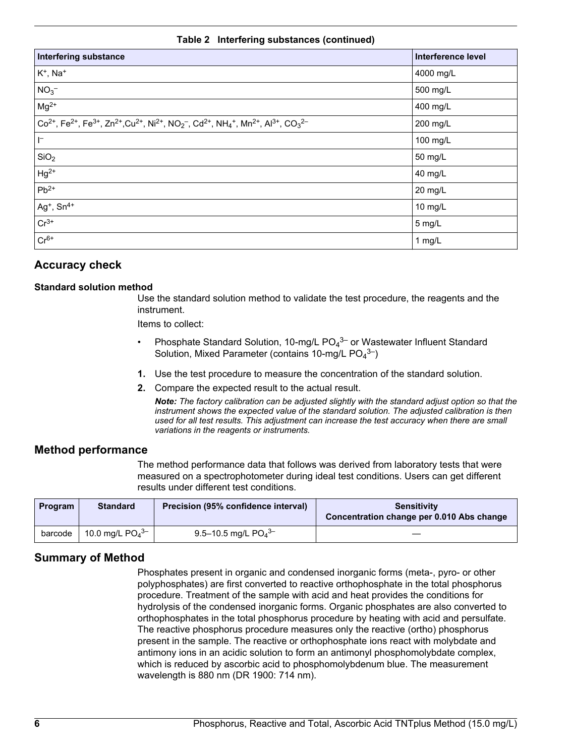#### **Table 2 Interfering substances (continued)**

| <b>Interfering substance</b>                                                                                                                                                                                                                                    | <b>Interference level</b> |
|-----------------------------------------------------------------------------------------------------------------------------------------------------------------------------------------------------------------------------------------------------------------|---------------------------|
| $K^+$ , Na <sup>+</sup>                                                                                                                                                                                                                                         | 4000 mg/L                 |
| $NO3-$                                                                                                                                                                                                                                                          | 500 mg/L                  |
| $Mg^{2+}$                                                                                                                                                                                                                                                       | 400 mg/L                  |
| $Co^{2+}$ , Fe <sup>2+</sup> , Fe <sup>3+</sup> , Zn <sup>2+</sup> , Cu <sup>2+</sup> , Ni <sup>2+</sup> , NO <sub>2</sub> <sup>-</sup> , Cd <sup>2+</sup> , NH <sub>4</sub> <sup>+</sup> , Mn <sup>2+</sup> , Al <sup>3+</sup> , CO <sub>3</sub> <sup>2-</sup> | 200 mg/L                  |
| $\mathsf{I}^-$                                                                                                                                                                                                                                                  | 100 mg/L                  |
| SiO <sub>2</sub>                                                                                                                                                                                                                                                | 50 mg/L                   |
| $Hg^{2+}$                                                                                                                                                                                                                                                       | 40 mg/L                   |
| $Pb^{2+}$                                                                                                                                                                                                                                                       | 20 mg/L                   |
| $Ag^+$ , $Sn^{4+}$                                                                                                                                                                                                                                              | 10 mg/L                   |
| $Cr^{3+}$                                                                                                                                                                                                                                                       | 5 mg/L                    |
| $Cr^{6+}$                                                                                                                                                                                                                                                       | 1 $mg/L$                  |

### **Accuracy check**

#### **Standard solution method**

Use the standard solution method to validate the test procedure, the reagents and the instrument.

Items to collect:

- Phosphate Standard Solution, 10-mg/L PO<sub>4</sub><sup>3–</sup> or Wastewater Influent Standard Solution, Mixed Parameter (contains 10-mg/L  $PO<sub>4</sub><sup>3-</sup>$ )
- **1.** Use the test procedure to measure the concentration of the standard solution.
- **2.** Compare the expected result to the actual result.

*Note: The factory calibration can be adjusted slightly with the standard adjust option so that the instrument shows the expected value of the standard solution. The adjusted calibration is then used for all test results. This adjustment can increase the test accuracy when there are small variations in the reagents or instruments.*

#### **Method performance**

The method performance data that follows was derived from laboratory tests that were measured on a spectrophotometer during ideal test conditions. Users can get different results under different test conditions.

| Program | <b>Standard</b>               | Precision (95% confidence interval) | <b>Sensitivity</b><br>Concentration change per 0.010 Abs change |
|---------|-------------------------------|-------------------------------------|-----------------------------------------------------------------|
| barcode | 10.0 mg/L $PO4$ <sup>3–</sup> | 9.5-10.5 mg/L $PO_4^{3-}$           |                                                                 |

# **Summary of Method**

Phosphates present in organic and condensed inorganic forms (meta-, pyro- or other polyphosphates) are first converted to reactive orthophosphate in the total phosphorus procedure. Treatment of the sample with acid and heat provides the conditions for hydrolysis of the condensed inorganic forms. Organic phosphates are also converted to orthophosphates in the total phosphorus procedure by heating with acid and persulfate. The reactive phosphorus procedure measures only the reactive (ortho) phosphorus present in the sample. The reactive or orthophosphate ions react with molybdate and antimony ions in an acidic solution to form an antimonyl phosphomolybdate complex, which is reduced by ascorbic acid to phosphomolybdenum blue. The measurement wavelength is 880 nm (DR 1900: 714 nm).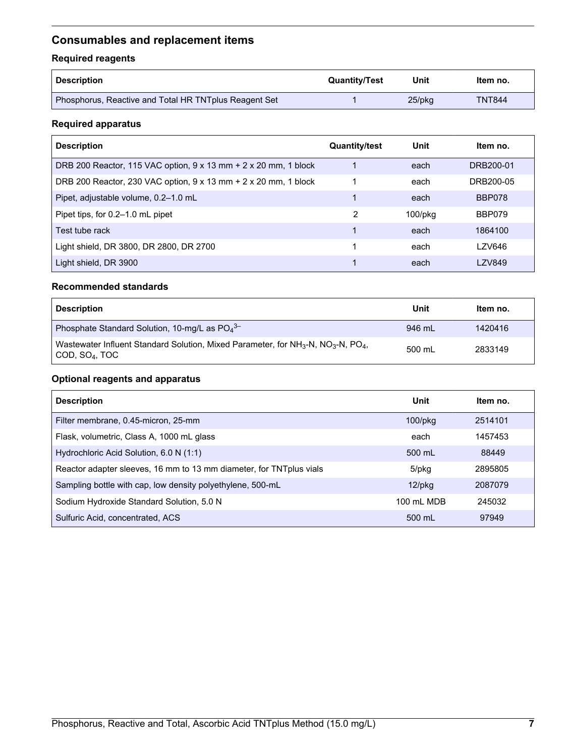# <span id="page-6-0"></span>**Consumables and replacement items**

# **Required reagents**

| Description                                           | <b>Quantity/Test</b> | Unit      | ltem no.      |
|-------------------------------------------------------|----------------------|-----------|---------------|
| Phosphorus, Reactive and Total HR TNTplus Reagent Set |                      | $25$ /pkq | <b>TNT844</b> |

### **Required apparatus**

| <b>Description</b>                                              | <b>Quantity/test</b> | Unit          | Item no.      |
|-----------------------------------------------------------------|----------------------|---------------|---------------|
| DRB 200 Reactor, 115 VAC option, 9 x 13 mm + 2 x 20 mm, 1 block |                      | each          | DRB200-01     |
| DRB 200 Reactor, 230 VAC option, 9 x 13 mm + 2 x 20 mm, 1 block |                      | each          | DRB200-05     |
| Pipet, adjustable volume, 0.2-1.0 mL                            |                      | each          | BBP078        |
| Pipet tips, for 0.2-1.0 mL pipet                                | 2                    | $100$ /p $kg$ | <b>BBP079</b> |
| Test tube rack                                                  |                      | each          | 1864100       |
| Light shield, DR 3800, DR 2800, DR 2700                         |                      | each          | <b>LZV646</b> |
| Light shield, DR 3900                                           |                      | each          | <b>LZV849</b> |

#### **Recommended standards**

| <b>Description</b>                                                                                                       | Unit   | Item no. |
|--------------------------------------------------------------------------------------------------------------------------|--------|----------|
| Phosphate Standard Solution, 10-mg/L as $PO43–$                                                                          | 946 mL | 1420416  |
| Wastewater Influent Standard Solution, Mixed Parameter, for $NH_3-N$ , $NO_3-N$ , $PO_4$ ,<br>COD, SO <sub>4</sub> , TOC | 500 mL | 2833149  |

### **Optional reagents and apparatus**

| <b>Description</b>                                                   | Unit             | Item no. |
|----------------------------------------------------------------------|------------------|----------|
| Filter membrane, 0.45-micron, 25-mm                                  | $100$ /p $kg$    | 2514101  |
| Flask, volumetric, Class A, 1000 mL glass                            | each             | 1457453  |
| Hydrochloric Acid Solution, 6.0 N (1:1)                              | $500 \text{ ml}$ | 88449    |
| Reactor adapter sleeves, 16 mm to 13 mm diameter, for TNT plus vials | 5/pkg            | 2895805  |
| Sampling bottle with cap, low density polyethylene, 500-mL           | $12$ /pkg        | 2087079  |
| Sodium Hydroxide Standard Solution, 5.0 N                            | 100 mL MDB       | 245032   |
| Sulfuric Acid, concentrated, ACS                                     | 500 mL           | 97949    |